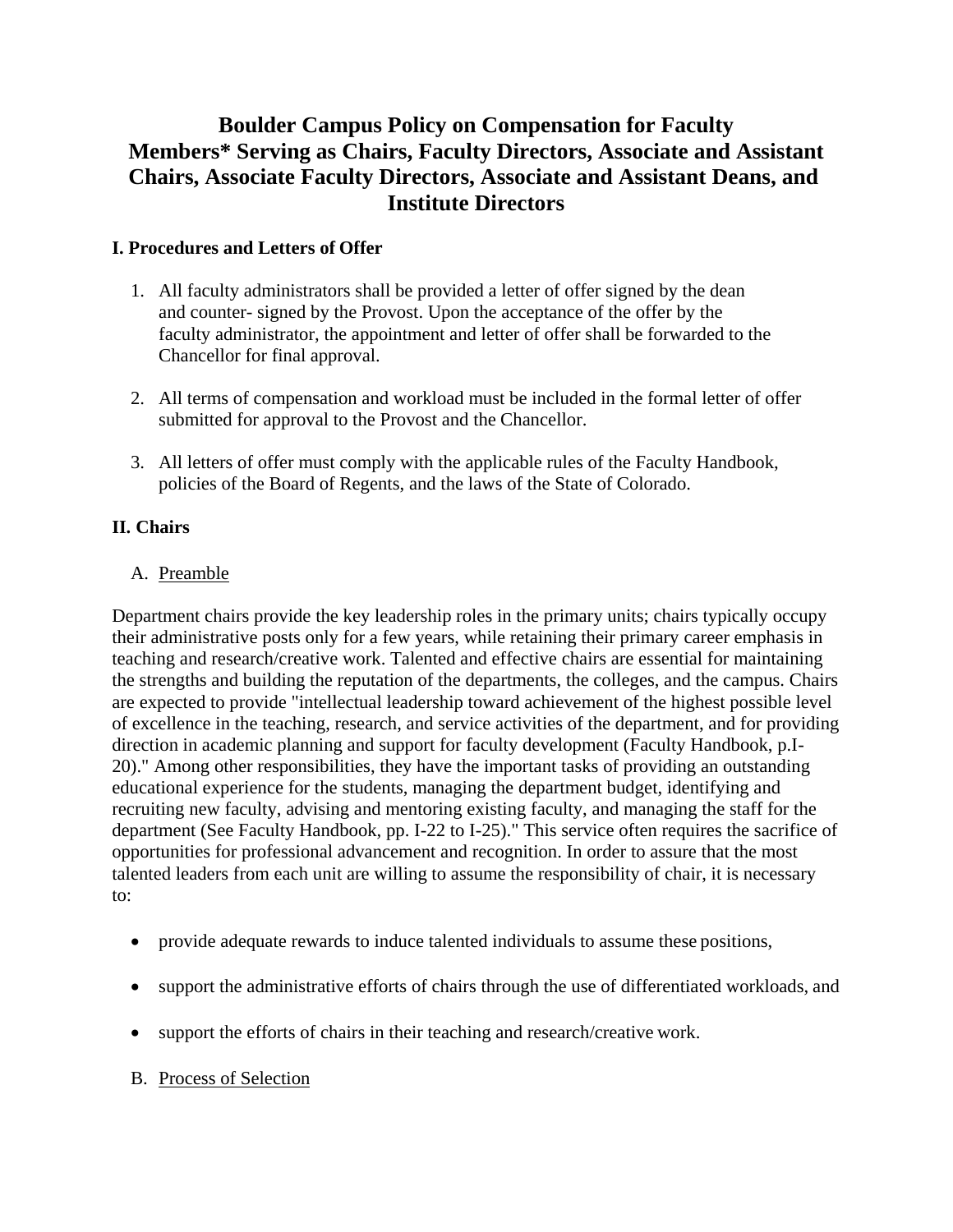# **Boulder Campus Policy on Compensation for Faculty Members\* Serving as Chairs, Faculty Directors, Associate and Assistant Chairs, Associate Faculty Directors, Associate and Assistant Deans, and Institute Directors**

## **I. Procedures and Letters of Offer**

- 1. All faculty administrators shall be provided a letter of offer signed by the dean and counter- signed by the Provost. Upon the acceptance of the offer by the faculty administrator, the appointment and letter of offer shall be forwarded to the Chancellor for final approval.
- 2. All terms of compensation and workload must be included in the formal letter of offer submitted for approval to the Provost and the Chancellor.
- 3. All letters of offer must comply with the applicable rules of the Faculty Handbook, policies of the Board of Regents, and the laws of the State of Colorado.

# **II. Chairs**

### A. Preamble

Department chairs provide the key leadership roles in the primary units; chairs typically occupy their administrative posts only for a few years, while retaining their primary career emphasis in teaching and research/creative work. Talented and effective chairs are essential for maintaining the strengths and building the reputation of the departments, the colleges, and the campus. Chairs are expected to provide "intellectual leadership toward achievement of the highest possible level of excellence in the teaching, research, and service activities of the department, and for providing direction in academic planning and support for faculty development (Faculty Handbook, p.I-20)." Among other responsibilities, they have the important tasks of providing an outstanding educational experience for the students, managing the department budget, identifying and recruiting new faculty, advising and mentoring existing faculty, and managing the staff for the department (See Faculty Handbook, pp. I-22 to I-25)." This service often requires the sacrifice of opportunities for professional advancement and recognition. In order to assure that the most talented leaders from each unit are willing to assume the responsibility of chair, it is necessary to:

- provide adequate rewards to induce talented individuals to assume these positions,
- support the administrative efforts of chairs through the use of differentiated workloads, and
- support the efforts of chairs in their teaching and research/creative work.
- B. Process of Selection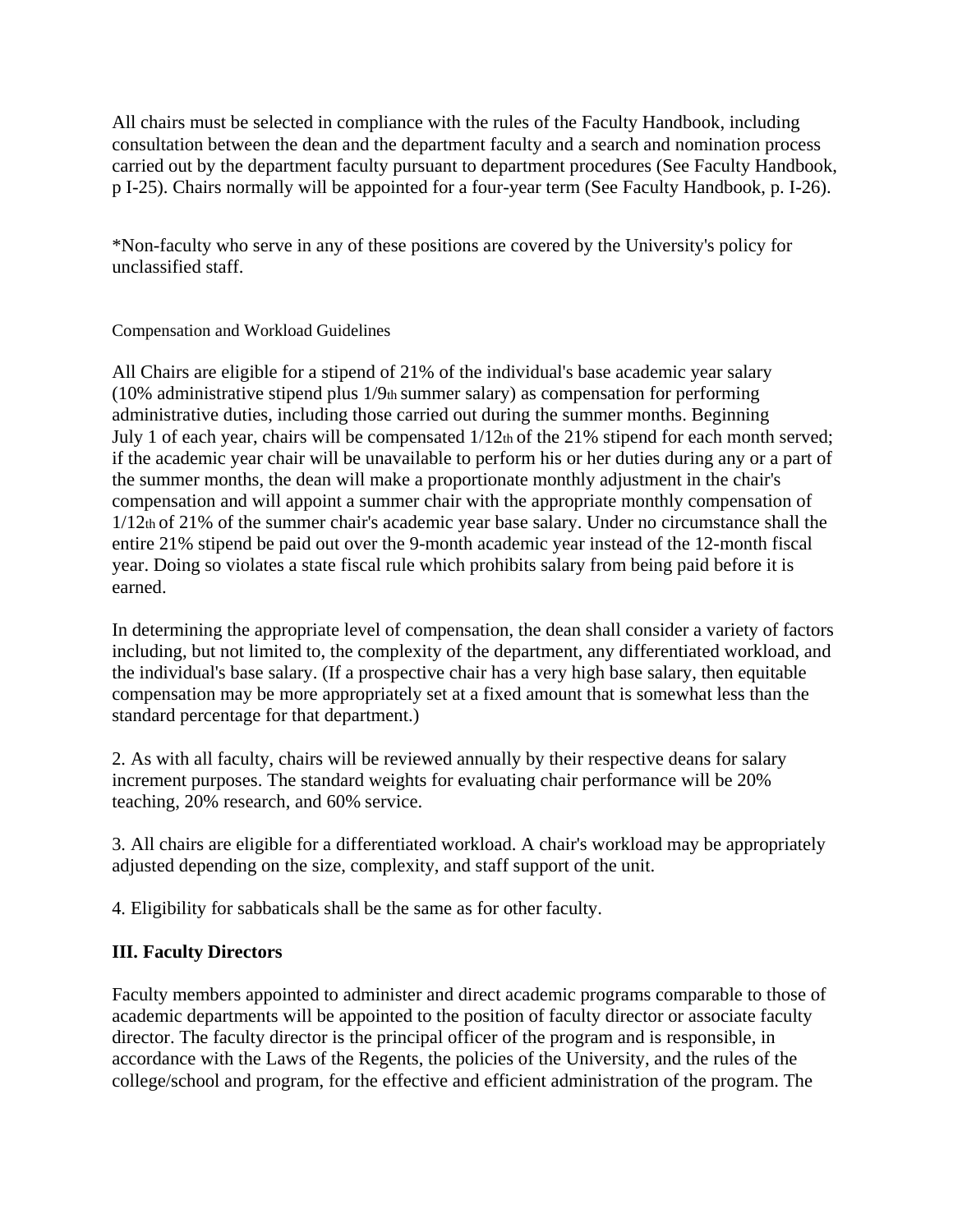All chairs must be selected in compliance with the rules of the Faculty Handbook, including consultation between the dean and the department faculty and a search and nomination process carried out by the department faculty pursuant to department procedures (See Faculty Handbook, p I-25). Chairs normally will be appointed for a four-year term (See Faculty Handbook, p. I-26).

\*Non-faculty who serve in any of these positions are covered by the University's policy for unclassified staff.

Compensation and Workload Guidelines

All Chairs are eligible for a stipend of 21% of the individual's base academic year salary (10% administrative stipend plus 1/9th summer salary) as compensation for performing administrative duties, including those carried out during the summer months. Beginning July 1 of each year, chairs will be compensated  $1/12$ th of the 21% stipend for each month served; if the academic year chair will be unavailable to perform his or her duties during any or a part of the summer months, the dean will make a proportionate monthly adjustment in the chair's compensation and will appoint a summer chair with the appropriate monthly compensation of 1/12th of 21% of the summer chair's academic year base salary. Under no circumstance shall the entire 21% stipend be paid out over the 9-month academic year instead of the 12-month fiscal year. Doing so violates a state fiscal rule which prohibits salary from being paid before it is earned.

In determining the appropriate level of compensation, the dean shall consider a variety of factors including, but not limited to, the complexity of the department, any differentiated workload, and the individual's base salary. (If a prospective chair has a very high base salary, then equitable compensation may be more appropriately set at a fixed amount that is somewhat less than the standard percentage for that department.)

2. As with all faculty, chairs will be reviewed annually by their respective deans for salary increment purposes. The standard weights for evaluating chair performance will be 20% teaching, 20% research, and 60% service.

3. All chairs are eligible for a differentiated workload. A chair's workload may be appropriately adjusted depending on the size, complexity, and staff support of the unit.

4. Eligibility for sabbaticals shall be the same as for other faculty.

#### **III. Faculty Directors**

Faculty members appointed to administer and direct academic programs comparable to those of academic departments will be appointed to the position of faculty director or associate faculty director. The faculty director is the principal officer of the program and is responsible, in accordance with the Laws of the Regents, the policies of the University, and the rules of the college/school and program, for the effective and efficient administration of the program. The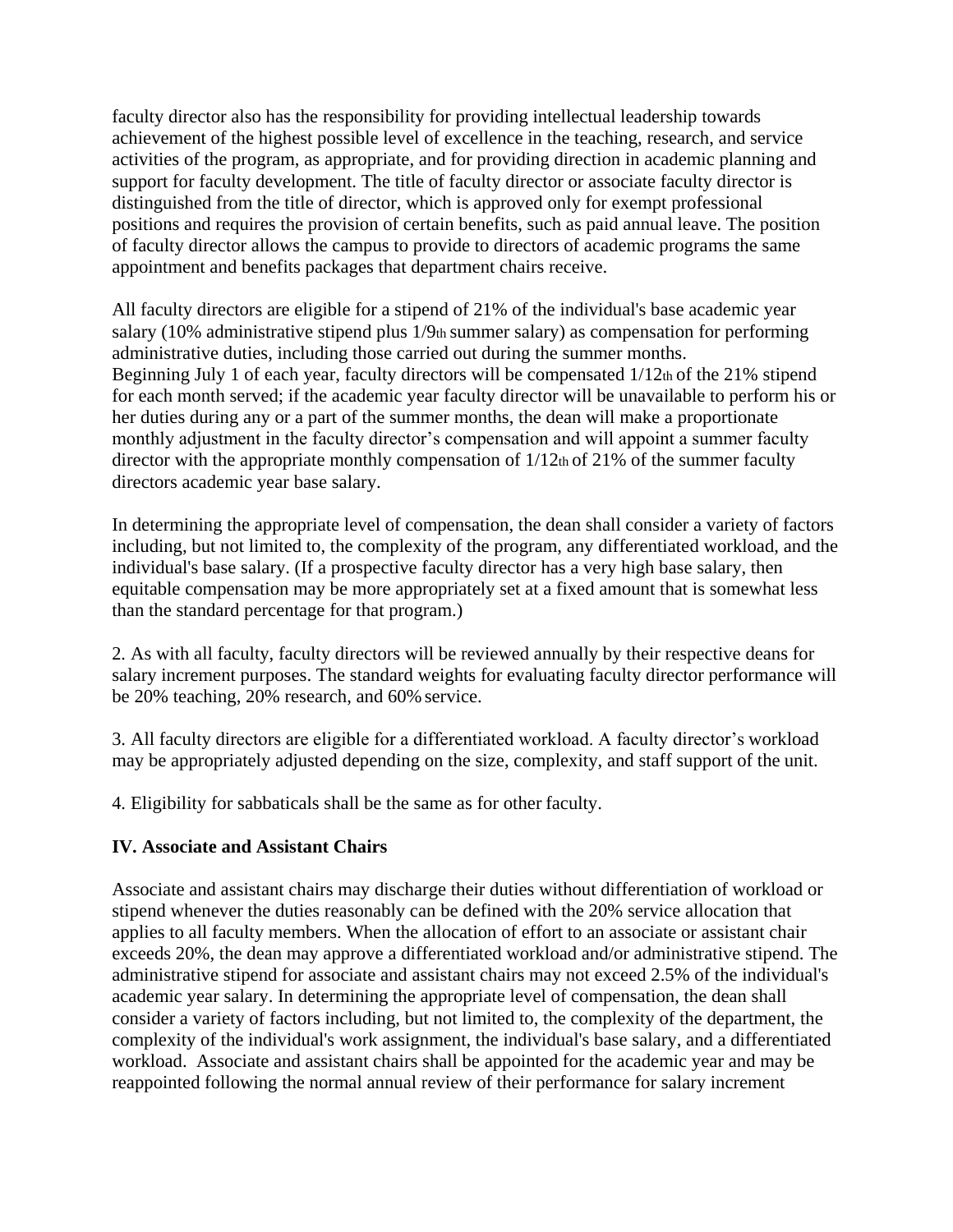faculty director also has the responsibility for providing intellectual leadership towards achievement of the highest possible level of excellence in the teaching, research, and service activities of the program, as appropriate, and for providing direction in academic planning and support for faculty development. The title of faculty director or associate faculty director is distinguished from the title of director, which is approved only for exempt professional positions and requires the provision of certain benefits, such as paid annual leave. The position of faculty director allows the campus to provide to directors of academic programs the same appointment and benefits packages that department chairs receive.

All faculty directors are eligible for a stipend of 21% of the individual's base academic year salary (10% administrative stipend plus 1/9th summer salary) as compensation for performing administrative duties, including those carried out during the summer months. Beginning July 1 of each year, faculty directors will be compensated  $1/12$ th of the 21% stipend for each month served; if the academic year faculty director will be unavailable to perform his or her duties during any or a part of the summer months, the dean will make a proportionate monthly adjustment in the faculty director's compensation and will appoint a summer faculty director with the appropriate monthly compensation of  $1/12<sub>th</sub>$  of 21% of the summer faculty directors academic year base salary.

In determining the appropriate level of compensation, the dean shall consider a variety of factors including, but not limited to, the complexity of the program, any differentiated workload, and the individual's base salary. (If a prospective faculty director has a very high base salary, then equitable compensation may be more appropriately set at a fixed amount that is somewhat less than the standard percentage for that program.)

2. As with all faculty, faculty directors will be reviewed annually by their respective deans for salary increment purposes. The standard weights for evaluating faculty director performance will be 20% teaching, 20% research, and 60% service.

3. All faculty directors are eligible for a differentiated workload. A faculty director's workload may be appropriately adjusted depending on the size, complexity, and staff support of the unit.

4. Eligibility for sabbaticals shall be the same as for other faculty.

#### **IV. Associate and Assistant Chairs**

Associate and assistant chairs may discharge their duties without differentiation of workload or stipend whenever the duties reasonably can be defined with the 20% service allocation that applies to all faculty members. When the allocation of effort to an associate or assistant chair exceeds 20%, the dean may approve a differentiated workload and/or administrative stipend. The administrative stipend for associate and assistant chairs may not exceed 2.5% of the individual's academic year salary. In determining the appropriate level of compensation, the dean shall consider a variety of factors including, but not limited to, the complexity of the department, the complexity of the individual's work assignment, the individual's base salary, and a differentiated workload. Associate and assistant chairs shall be appointed for the academic year and may be reappointed following the normal annual review of their performance for salary increment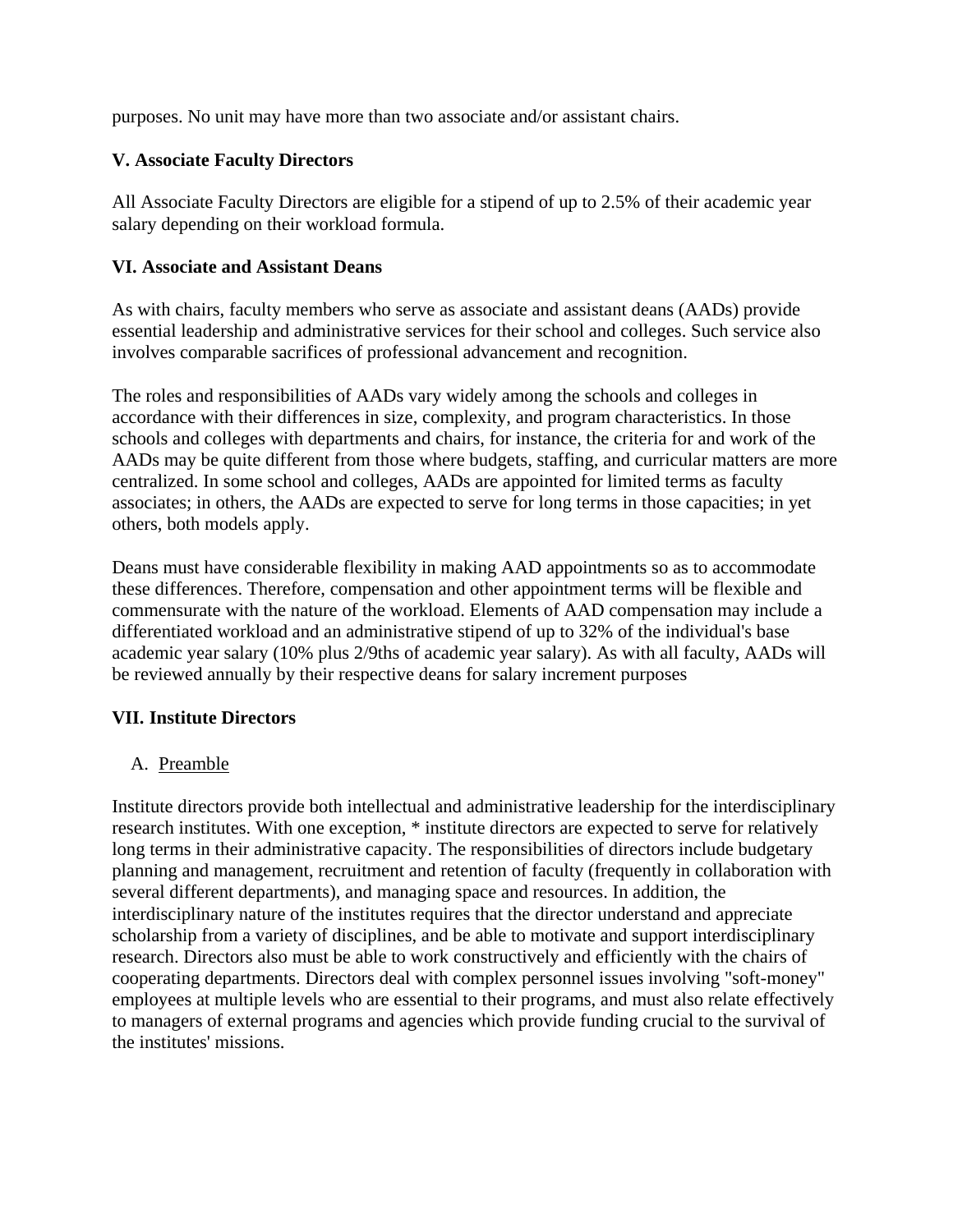purposes. No unit may have more than two associate and/or assistant chairs.

#### **V. Associate Faculty Directors**

All Associate Faculty Directors are eligible for a stipend of up to 2.5% of their academic year salary depending on their workload formula.

#### **VI. Associate and Assistant Deans**

As with chairs, faculty members who serve as associate and assistant deans (AADs) provide essential leadership and administrative services for their school and colleges. Such service also involves comparable sacrifices of professional advancement and recognition.

The roles and responsibilities of AADs vary widely among the schools and colleges in accordance with their differences in size, complexity, and program characteristics. In those schools and colleges with departments and chairs, for instance, the criteria for and work of the AADs may be quite different from those where budgets, staffing, and curricular matters are more centralized. In some school and colleges, AADs are appointed for limited terms as faculty associates; in others, the AADs are expected to serve for long terms in those capacities; in yet others, both models apply.

Deans must have considerable flexibility in making AAD appointments so as to accommodate these differences. Therefore, compensation and other appointment terms will be flexible and commensurate with the nature of the workload. Elements of AAD compensation may include a differentiated workload and an administrative stipend of up to 32% of the individual's base academic year salary (10% plus 2/9ths of academic year salary). As with all faculty, AADs will be reviewed annually by their respective deans for salary increment purposes

#### **VII. Institute Directors**

#### A. Preamble

Institute directors provide both intellectual and administrative leadership for the interdisciplinary research institutes. With one exception, \* institute directors are expected to serve for relatively long terms in their administrative capacity. The responsibilities of directors include budgetary planning and management, recruitment and retention of faculty (frequently in collaboration with several different departments), and managing space and resources. In addition, the interdisciplinary nature of the institutes requires that the director understand and appreciate scholarship from a variety of disciplines, and be able to motivate and support interdisciplinary research. Directors also must be able to work constructively and efficiently with the chairs of cooperating departments. Directors deal with complex personnel issues involving "soft-money" employees at multiple levels who are essential to their programs, and must also relate effectively to managers of external programs and agencies which provide funding crucial to the survival of the institutes' missions.